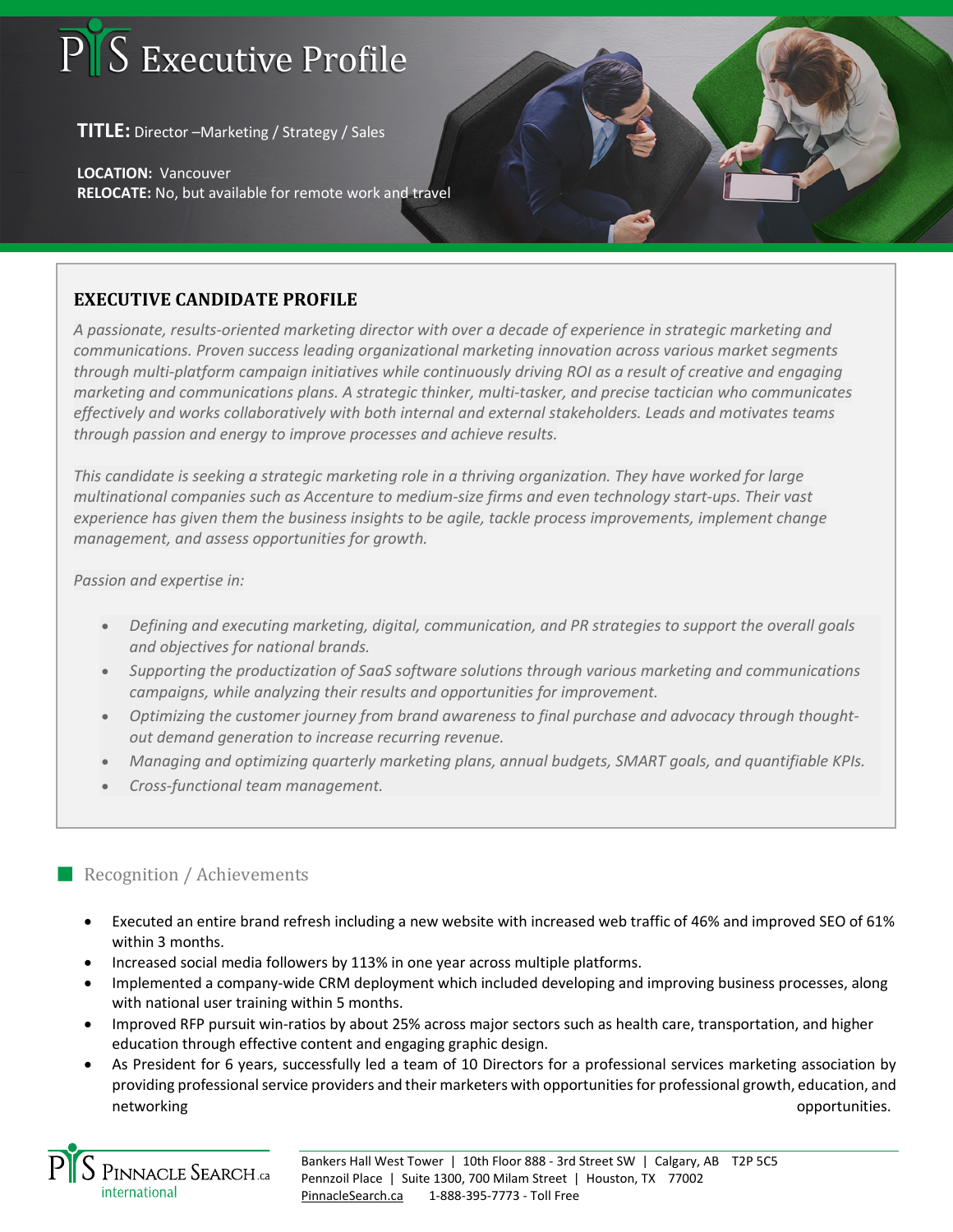## S Executive Profile

**TITLE:** Director –Marketing / Strategy / Sales

**LOCATION:** Vancouver **RELOCATE:** No, but available for remote work and travel

## **EXECUTIVE CANDIDATE PROFILE**

*A passionate, results-oriented marketing director with over a decade of experience in strategic marketing and communications. Proven success leading organizational marketing innovation across various market segments through multi-platform campaign initiatives while continuously driving ROI as a result of creative and engaging marketing and communications plans. A strategic thinker, multi-tasker, and precise tactician who communicates effectively and works collaboratively with both internal and external stakeholders. Leads and motivates teams through passion and energy to improve processes and achieve results.*

*This candidate is seeking a strategic marketing role in a thriving organization. They have worked for large multinational companies such as Accenture to medium-size firms and even technology start-ups. Their vast experience has given them the business insights to be agile, tackle process improvements, implement change management, and assess opportunities for growth.*

*Passion and expertise in:*

- *Defining and executing marketing, digital, communication, and PR strategies to support the overall goals and objectives for national brands.*
- *Supporting the productization of SaaS software solutions through various marketing and communications campaigns, while analyzing their results and opportunities for improvement.*
- *Optimizing the customer journey from brand awareness to final purchase and advocacy through thoughtout demand generation to increase recurring revenue.*
- *Managing and optimizing quarterly marketing plans, annual budgets, SMART goals, and quantifiable KPIs.*
- *Cross-functional team management.*

## Recognition / Achievements

- Executed an entire brand refresh including a new website with increased web traffic of 46% and improved SEO of 61% within 3 months.
- Increased social media followers by 113% in one year across multiple platforms.
- Implemented a company-wide CRM deployment which included developing and improving business processes, along with national user training within 5 months.
- Improved RFP pursuit win-ratios by about 25% across major sectors such as health care, transportation, and higher education through effective content and engaging graphic design.
- As President for 6 years, successfully led a team of 10 Directors for a professional services marketing association by providing professional service providers and their marketers with opportunities for professional growth, education, and networking opportunities.